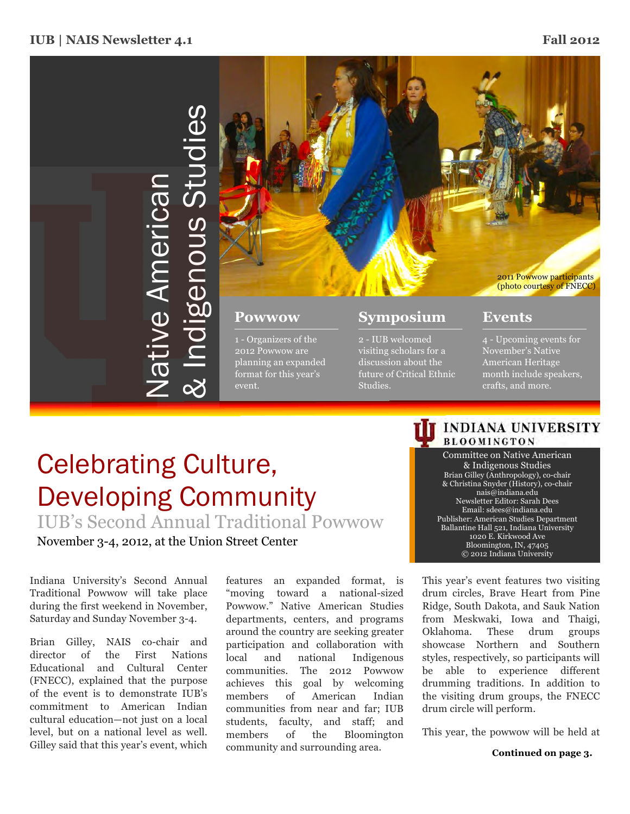

# Celebrating Culture, Developing Community

IUB's Second Annual Traditional Powwow

event.

November 3-4, 2012, at the Union Street Center

Indiana University's Second Annual Traditional Powwow will take place during the first weekend in November, Saturday and Sunday November 3-4.

Brian Gilley, NAIS co-chair and director of the First Nations Educational and Cultural Center (FNECC), explained that the purpose of the event is to demonstrate IUB's commitment to American Indian cultural education—not just on a local level, but on a national level as well. Gilley said that this year's event, which

features an expanded format, is "moving toward a national-sized Powwow." Native American Studies departments, centers, and programs around the country are seeking greater participation and collaboration with local and national Indigenous communities. The 2012 Powwow achieves this goal by welcoming members of American Indian communities from near and far; IUB students, faculty, and staff; and members of the Bloomington community and surrounding area.

future of Critical Ethnic

Studies.

# month include speakers, crafts, and more.

## **INDIANA UNIVERSITY BLOOMINGTON**

Committee on Native American & Indigenous Studies Brian Gilley (Anthropology), co-chair & Christina Snyder (History), co-chair nais@indiana.edu Newsletter Editor: Sarah Dees Email: sdees@indiana.edu Publisher: American Studies Department Ballantine Hall 521, Indiana University 1020 E. Kirkwood Ave Bloomington, IN, 47405 © 2012 Indiana University

This year's event features two visiting drum circles, Brave Heart from Pine Ridge, South Dakota, and Sauk Nation from Meskwaki, Iowa and Thaigi, Oklahoma. These drum groups showcase Northern and Southern styles, respectively, so participants will be able to experience different drumming traditions. In addition to the visiting drum groups, the FNECC drum circle will perform.

This year, the powwow will be held at

**Continued on page 3.**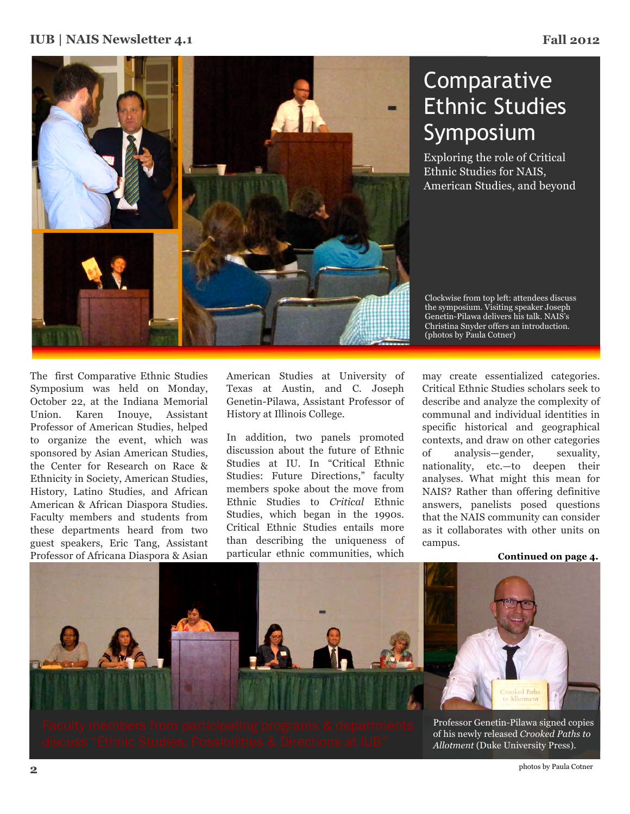## **IUB | NAIS Newsletter 4.1 Fall 2012**



# Comparative Ethnic Studies Symposium

Exploring the role of Critical Ethnic Studies for NAIS, American Studies, and beyond

The first Comparative Ethnic Studies Symposium was held on Monday, October 22, at the Indiana Memorial Union. Karen Inouye, Assistant Professor of American Studies, helped to organize the event, which was sponsored by Asian American Studies, the Center for Research on Race & Ethnicity in Society, American Studies, History, Latino Studies, and African American & African Diaspora Studies. Faculty members and students from these departments heard from two guest speakers, Eric Tang, Assistant Professor of Africana Diaspora & Asian American Studies at University of Texas at Austin, and C. Joseph Genetin-Pilawa, Assistant Professor of History at Illinois College.

In addition, two panels promoted discussion about the future of Ethnic Studies at IU. In "Critical Ethnic Studies: Future Directions," faculty members spoke about the move from Ethnic Studies to *Critical* Ethnic Studies, which began in the 1990s. Critical Ethnic Studies entails more than describing the uniqueness of particular ethnic communities, which

Clockwise from top left: attendees discuss the symposium. Visiting speaker Joseph Genetin-Pilawa delivers his talk. NAIS's Christina Snyder offers an introduction. (photos by Paula Cotner)

may create essentialized categories. Critical Ethnic Studies scholars seek to describe and analyze the complexity of communal and individual identities in specific historical and geographical contexts, and draw on other categories of analysis—gender, sexuality, nationality, etc.—to deepen their analyses. What might this mean for NAIS? Rather than offering definitive answers, panelists posed questions that the NAIS community can consider as it collaborates with other units on campus.

**Continued on page 4.**

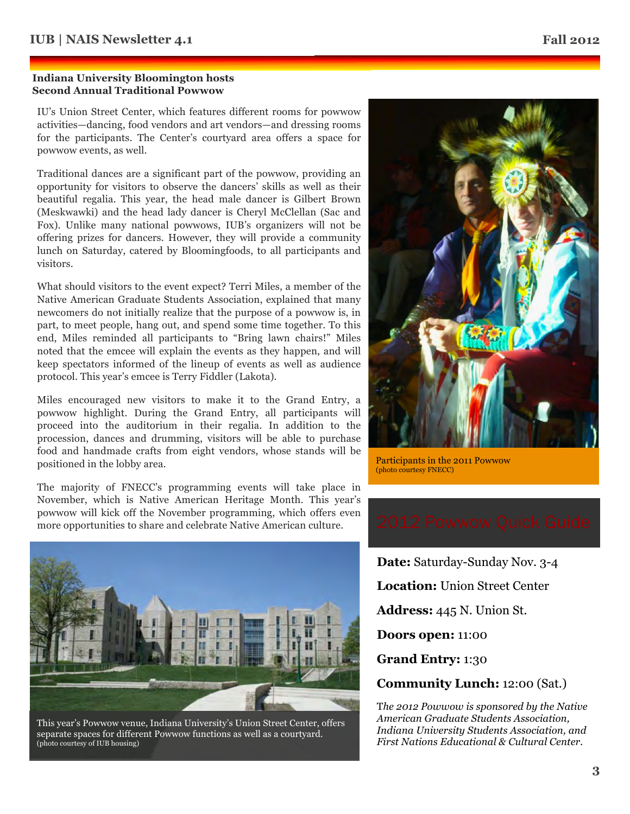### **Indiana University Bloomington hosts Second Annual Traditional Powwow**

IU's Union Street Center, which features different rooms for powwow activities—dancing, food vendors and art vendors—and dressing rooms for the participants. The Center's courtyard area offers a space for powwow events, as well.

Traditional dances are a significant part of the powwow, providing an opportunity for visitors to observe the dancers' skills as well as their beautiful regalia. This year, the head male dancer is Gilbert Brown (Meskwawki) and the head lady dancer is Cheryl McClellan (Sac and Fox). Unlike many national powwows, IUB's organizers will not be offering prizes for dancers. However, they will provide a community lunch on Saturday, catered by Bloomingfoods, to all participants and visitors.

What should visitors to the event expect? Terri Miles, a member of the Native American Graduate Students Association, explained that many newcomers do not initially realize that the purpose of a powwow is, in part, to meet people, hang out, and spend some time together. To this end, Miles reminded all participants to "Bring lawn chairs!" Miles noted that the emcee will explain the events as they happen, and will keep spectators informed of the lineup of events as well as audience protocol. This year's emcee is Terry Fiddler (Lakota).

Miles encouraged new visitors to make it to the Grand Entry, a powwow highlight. During the Grand Entry, all participants will proceed into the auditorium in their regalia. In addition to the procession, dances and drumming, visitors will be able to purchase food and handmade crafts from eight vendors, whose stands will be positioned in the lobby area.

The majority of FNECC's programming events will take place in November, which is Native American Heritage Month. This year's powwow will kick off the November programming, which offers even more opportunities to share and celebrate Native American culture.



This year's Powwow venue, Indiana University's Union Street Center, offers separate spaces for different Powwow functions as well as a courtyard. (photo courtesy of IUB housing)



Participants in the 2011 Powwow (photo courtesy FNECC)



**Date:** Saturday-Sunday Nov. 3-4 **Location:** Union Street Center **Address:** 445 N. Union St. **Doors open:** 11:00 **Grand Entry:** 1:30 **Community Lunch:** 12:00 (Sat.)

T*he 2012 Powwow is sponsored by the Native American Graduate Students Association, Indiana University Students Association, and First Nations Educational & Cultural Center.*